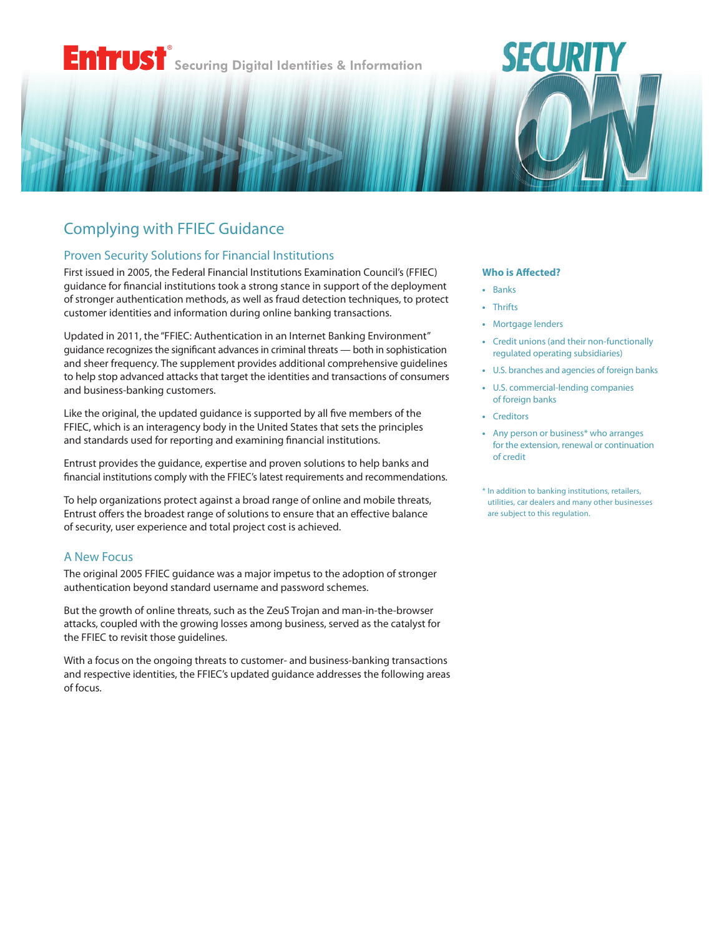# Entrust® Securing Digital Identities & Information

# Complying with FFIEC Guidance

## Proven Security Solutions for Financial Institutions

First issued in 2005, the Federal Financial Institutions Examination Council's (FFIEC) guidance for financial institutions took a strong stance in support of the deployment of stronger authentication methods, as well as fraud detection techniques, to protect customer identities and information during online banking transactions.

Updated in 2011, the ["FFIEC: Authentication in an Internet Banking Environment](http://www.ffiec.gov/pdf/Auth-ITS-Final%206-22-11%20%28FFIEC%20Formated%29.pdf)" guidance recognizes the significant advances in criminal threats — both in sophistication and sheer frequency. The supplement provides additional comprehensive guidelines to help stop advanced attacks that target the identities and transactions of consumers and business-banking customers.

Like the original, the updated guidance is supported by all five members of the FFIEC, which is an interagency body in the United States that sets the principles and standards used for reporting and examining financial institutions.

Entrust provides the guidance, expertise and proven solutions to help banks and financial institutions comply with the FFIEC's latest requirements and recommendations.

To help organizations protect against a broad range of online and mobile threats, Entrust offers the broadest range of solutions to ensure that an effective balance of security, user experience and total project cost is achieved.

## A New Focus

The original 2005 FFIEC guidance was a major impetus to the adoption of stronger authentication beyond standard username and password schemes.

But the growth of online threats, such as the ZeuS Trojan and man-in-the-browser attacks, coupled with the growing losses among business, served as the catalyst for the FFIEC to revisit those guidelines.

With a focus on the ongoing threats to customer- and business-banking transactions and respective identities, the FFIEC's updated guidance addresses the following areas of focus.

#### **Who is Affected?**

SECURIT

- **•** Banks
- **•** Thrifts
- **•** Mortgage lenders
- **•** Credit unions (and their non-functionally regulated operating subsidiaries)
- **•** U.S. branches and agencies of foreign banks
- **•** U.S. commercial-lending companies of foreign banks
- **•** Creditors
- **•** Any person or business\* who arranges for the extension, renewal or continuation of credit
- \* In addition to banking institutions, retailers, utilities, car dealers and many other businesses are subject to this regulation.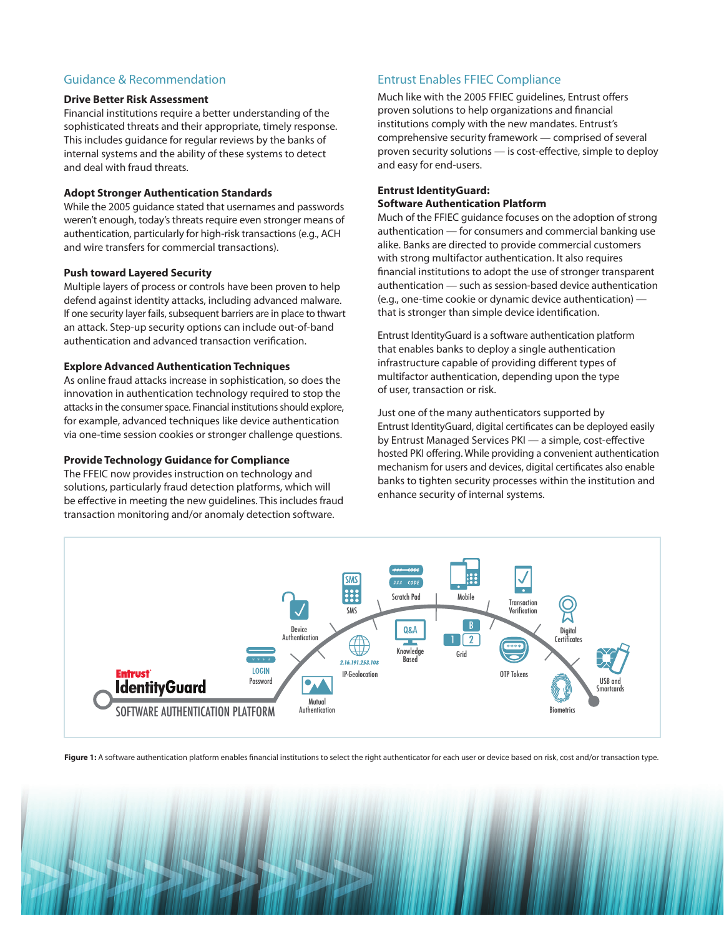# Guidance & Recommendation

#### **Drive Better Risk Assessment**

Financial institutions require a better understanding of the sophisticated threats and their appropriate, timely response. This includes guidance for regular reviews by the banks of internal systems and the ability of these systems to detect and deal with fraud threats.

#### **Adopt Stronger Authentication Standards**

While the 2005 guidance stated that usernames and passwords weren't enough, today's threats require even stronger means of authentication, particularly for high-risk transactions (e.g., ACH and wire transfers for commercial transactions).

#### **Push toward Layered Security**

Multiple layers of process or controls have been proven to help defend against identity attacks, including advanced malware. If one security layer fails, subsequent barriers are in place to thwart an attack. Step-up security options can include out-of-band authentication and advanced transaction verification.

#### **Explore Advanced Authentication Techniques**

As online fraud attacks increase in sophistication, so does the innovation in authentication technology required to stop the attacks in the consumer space. Financial institutions should explore, for example, advanced techniques like device authentication via one-time session cookies or stronger challenge questions.

#### **Provide Technology Guidance for Compliance**

The FFEIC now provides instruction on technology and solutions, particularly fraud detection platforms, which will be effective in meeting the new guidelines. This includes fraud transaction monitoring and/or anomaly detection software.

# Entrust Enables FFIEC Compliance

Much like with the 2005 FFIEC guidelines, Entrust offers proven solutions to help organizations and financial institutions comply with the new mandates. Entrust's comprehensive security framework — comprised of several proven security solutions — is cost-effective, simple to deploy and easy for end-users.

#### **Entrust IdentityGuard: Software Authentication Platform**

Much of the FFIEC guidance focuses on the adoption of strong authentication — for consumers and commercial banking use alike. Banks are directed to provide commercial customers with strong multifactor authentication. It also requires financial institutions to adopt the use of stronger transparent authentication — such as session-based device authentication (e.g., one-time cookie or dynamic device authentication) that is stronger than simple device identification.

Entrust IdentityGuard is a software authentication platform that enables banks to deploy a single authentication infrastructure capable of providing different types of multifactor authentication, depending upon the type of user, transaction or risk.

Just one of the many authenticators supported by Entrust IdentityGuard, digital certificates can be deployed easily by Entrust Managed Services PKI — a simple, cost-effective hosted PKI offering. While providing a convenient authentication mechanism for users and devices, digital certificates also enable banks to tighten security processes within the institution and enhance security of internal systems.



Figure 1: A software authentication platform enables financial institutions to select the right authenticator for each user or device based on risk, cost and/or transaction type.

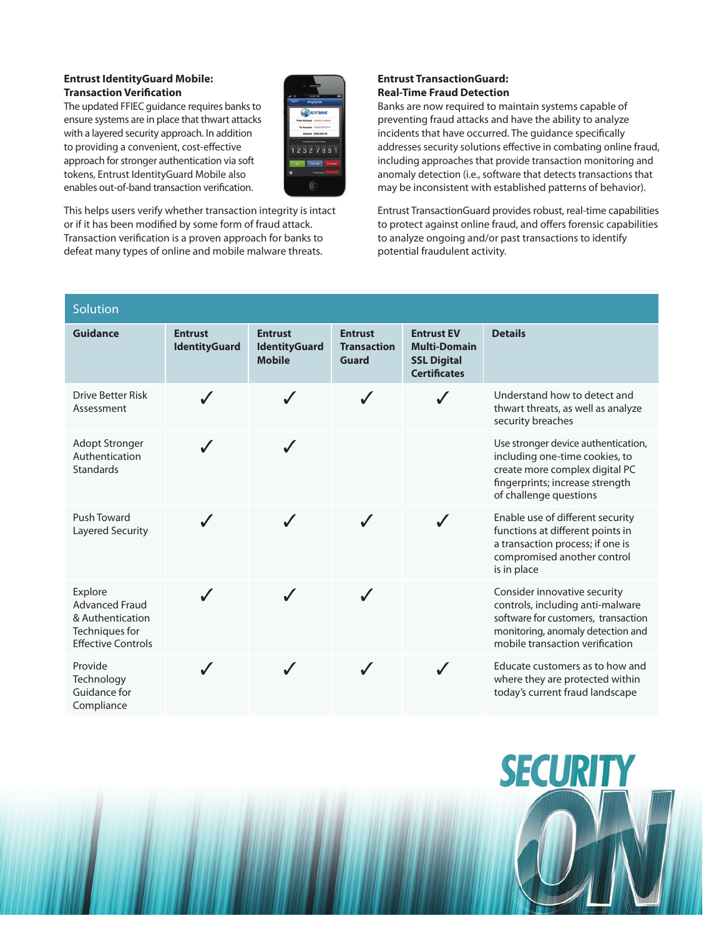#### **Entrust IdentityGuard Mobile: Transaction Verification**

The updated FFIEC guidance requires banks to ensure systems are in place that thwart attacks with a layered security approach. In addition to providing a convenient, cost-effective approach for stronger authentication via soft tokens, Entrust IdentityGuard Mobile also enables out-of-band transaction verification.



This helps users verify whether transaction integrity is intact or if it has been modified by some form of fraud attack. Transaction verification is a proven approach for banks to defeat many types of online and mobile malware threats.

#### **Entrust TransactionGuard: Real-Time Fraud Detection**

Banks are now required to maintain systems capable of preventing fraud attacks and have the ability to analyze incidents that have occurred. The guidance specifically addresses security solutions effective in combating online fraud, including approaches that provide transaction monitoring and anomaly detection (i.e., software that detects transactions that may be inconsistent with established patterns of behavior).

Entrust TransactionGuard provides robust, real-time capabilities to protect against online fraud, and offers forensic capabilities to analyze ongoing and/or past transactions to identify potential fraudulent activity.

| Solution                                                                                            |                                        |                                                         |                                               |                                                                                       |                                                                                                                                                                                 |
|-----------------------------------------------------------------------------------------------------|----------------------------------------|---------------------------------------------------------|-----------------------------------------------|---------------------------------------------------------------------------------------|---------------------------------------------------------------------------------------------------------------------------------------------------------------------------------|
| <b>Guidance</b>                                                                                     | <b>Entrust</b><br><b>IdentityGuard</b> | <b>Entrust</b><br><b>IdentityGuard</b><br><b>Mobile</b> | <b>Entrust</b><br><b>Transaction</b><br>Guard | <b>Entrust EV</b><br><b>Multi-Domain</b><br><b>SSL Digital</b><br><b>Certificates</b> | <b>Details</b>                                                                                                                                                                  |
| <b>Drive Better Risk</b><br>Assessment                                                              |                                        |                                                         |                                               |                                                                                       | Understand how to detect and<br>thwart threats, as well as analyze<br>security breaches                                                                                         |
| <b>Adopt Stronger</b><br>Authentication<br><b>Standards</b>                                         | J                                      |                                                         |                                               |                                                                                       | Use stronger device authentication,<br>including one-time cookies, to<br>create more complex digital PC<br>fingerprints; increase strength<br>of challenge questions            |
| Push Toward<br>Layered Security                                                                     |                                        |                                                         |                                               |                                                                                       | Enable use of different security<br>functions at different points in<br>a transaction process; if one is<br>compromised another control<br>is in place                          |
| Explore<br><b>Advanced Fraud</b><br>& Authentication<br>Techniques for<br><b>Effective Controls</b> |                                        |                                                         |                                               |                                                                                       | Consider innovative security<br>controls, including anti-malware<br>software for customers, transaction<br>monitoring, anomaly detection and<br>mobile transaction verification |
| Provide<br>Technology<br>Guidance for<br>Compliance                                                 |                                        |                                                         |                                               |                                                                                       | Educate customers as to how and<br>where they are protected within<br>today's current fraud landscape                                                                           |